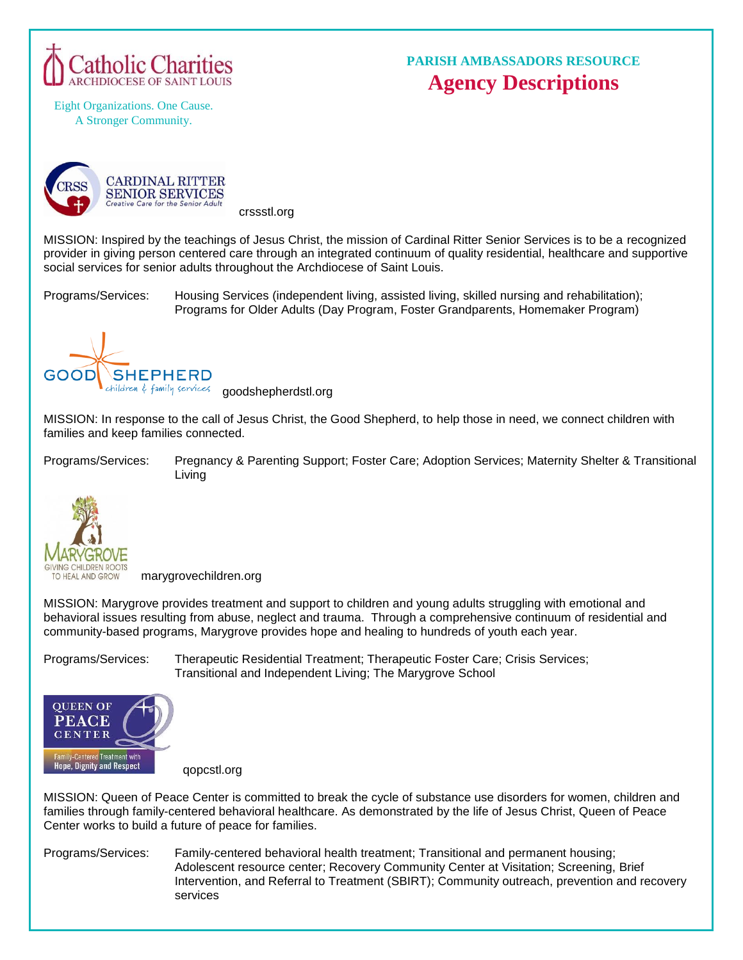

## **PARISH AMBASSADORS RESOURCE Agency Descriptions**

Eight Organizations. One Cause. A Stronger Community.



crssstl.org

MISSION: Inspired by the teachings of Jesus Christ, the mission of Cardinal Ritter Senior Services is to be a recognized provider in giving person centered care through an integrated continuum of quality residential, healthcare and supportive social services for senior adults throughout the Archdiocese of Saint Louis.

Programs/Services: Housing Services (independent living, assisted living, skilled nursing and rehabilitation); Programs for Older Adults (Day Program, Foster Grandparents, Homemaker Program)



children & family services **goodshepherdstl.org** 

MISSION: In response to the call of Jesus Christ, the Good Shepherd, to help those in need, we connect children with families and keep families connected.

Programs/Services: Pregnancy & Parenting Support; Foster Care; Adoption Services; Maternity Shelter & Transitional Living



marygrovechildren.org

MISSION: Marygrove provides treatment and support to children and young adults struggling with emotional and behavioral issues resulting from abuse, neglect and trauma. Through a comprehensive continuum of residential and community-based programs, Marygrove provides hope and healing to hundreds of youth each year.

Programs/Services: Therapeutic Residential Treatment; Therapeutic Foster Care; Crisis Services; Transitional and Independent Living; The Marygrove School



qopcstl.org

MISSION: Queen of Peace Center is committed to break the cycle of substance use disorders for women, children and families through family-centered behavioral healthcare. As demonstrated by the life of Jesus Christ, Queen of Peace Center works to build a future of peace for families.

Programs/Services: [Family-centered](http://www.qopcstl.org/services-programs/family-centered-behavioral-health-treatment/) behavioral health treatment; [Transitional](http://www.qopcstl.org/services-programs/housing/) and permanent housing; [Adolescent](http://www.qopcstl.org/services-programs/adolescent-resource-center/) resource center; Recovery [Community](http://www.qopcstl.org/services-programs/recovery-community-center-at-visitation/) Center at Visitation; [Screening,](http://www.qopcstl.org/services-programs/screening-brief-intervention-and-referral-to-treatment/) Brief [Intervention,](http://www.qopcstl.org/services-programs/screening-brief-intervention-and-referral-to-treatment/) and Referral to Treatment (SBIRT)[; Community](http://www.qopcstl.org/services-programs/community-outreach-prevention-and-recovery/) outreach, prevention and recovery [services](http://www.qopcstl.org/services-programs/community-outreach-prevention-and-recovery/)